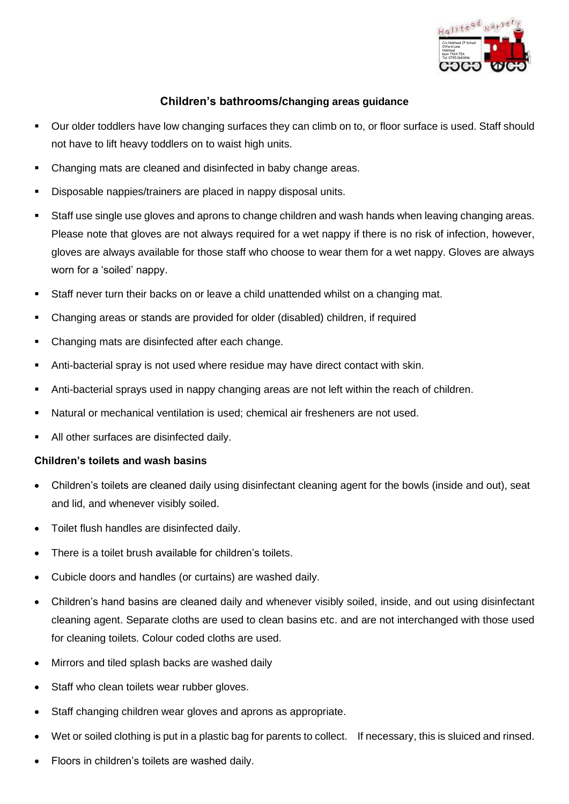

## **Children's bathrooms/changing areas guidance**

- Our older toddlers have low changing surfaces they can climb on to, or floor surface is used. Staff should not have to lift heavy toddlers on to waist high units.
- Changing mats are cleaned and disinfected in baby change areas.
- Disposable nappies/trainers are placed in nappy disposal units.
- Staff use single use gloves and aprons to change children and wash hands when leaving changing areas. Please note that gloves are not always required for a wet nappy if there is no risk of infection, however, gloves are always available for those staff who choose to wear them for a wet nappy. Gloves are always worn for a 'soiled' nappy.
- **EXECT AT A Staff never turn their backs on or leave a child unattended whilst on a changing mat.**
- Changing areas or stands are provided for older (disabled) children, if required
- Changing mats are disinfected after each change.
- Anti-bacterial spray is not used where residue may have direct contact with skin.
- Anti-bacterial sprays used in nappy changing areas are not left within the reach of children.
- Natural or mechanical ventilation is used; chemical air fresheners are not used.
- All other surfaces are disinfected daily.

## **Children's toilets and wash basins**

- Children's toilets are cleaned daily using disinfectant cleaning agent for the bowls (inside and out), seat and lid, and whenever visibly soiled.
- Toilet flush handles are disinfected daily.
- There is a toilet brush available for children's toilets.
- Cubicle doors and handles (or curtains) are washed daily.
- Children's hand basins are cleaned daily and whenever visibly soiled, inside, and out using disinfectant cleaning agent. Separate cloths are used to clean basins etc. and are not interchanged with those used for cleaning toilets. Colour coded cloths are used.
- Mirrors and tiled splash backs are washed daily
- Staff who clean toilets wear rubber gloves.
- Staff changing children wear gloves and aprons as appropriate.
- Wet or soiled clothing is put in a plastic bag for parents to collect. If necessary, this is sluiced and rinsed.
- Floors in children's toilets are washed daily.